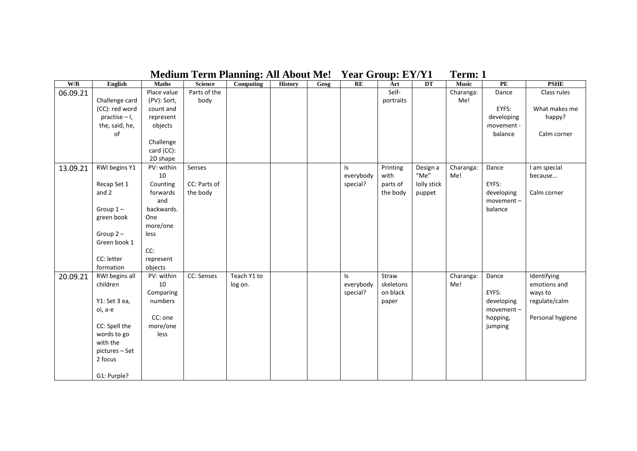| W/B      | English         | <b>Maths</b> | <b>Science</b> | Computing   | <b>History</b> | Geog | RE             | Art       | DT          | <b>Music</b> | $\mathbf{PE}$ | <b>PSHE</b>      |
|----------|-----------------|--------------|----------------|-------------|----------------|------|----------------|-----------|-------------|--------------|---------------|------------------|
| 06.09.21 |                 | Place value  | Parts of the   |             |                |      |                | Self-     |             | Charanga:    | Dance         | Class rules      |
|          | Challenge card  | (PV): Sort,  | body           |             |                |      |                | portraits |             | Me!          |               |                  |
|          | (CC): red word  | count and    |                |             |                |      |                |           |             |              | EYFS:         | What makes me    |
|          | $practise - I,$ | represent    |                |             |                |      |                |           |             |              | developing    | happy?           |
|          | the, said, he,  | objects      |                |             |                |      |                |           |             |              | movement -    |                  |
|          | οf              |              |                |             |                |      |                |           |             |              | balance       | Calm corner      |
|          |                 | Challenge    |                |             |                |      |                |           |             |              |               |                  |
|          |                 | card (CC):   |                |             |                |      |                |           |             |              |               |                  |
|          |                 | 2D shape     |                |             |                |      |                |           |             |              |               |                  |
| 13.09.21 | RWI begins Y1   | PV: within   | Senses         |             |                |      | Is.            | Printing  | Design a    | Charanga:    | Dance         | I am special     |
|          |                 | 10           |                |             |                |      | everybody      | with      | $"$ Me $"$  | Me!          |               | because          |
|          | Recap Set 1     | Counting     | CC: Parts of   |             |                |      | special?       | parts of  | lolly stick |              | EYFS:         |                  |
|          | and 2           | forwards     | the body       |             |                |      |                | the body  | puppet      |              | developing    | Calm corner      |
|          |                 | and          |                |             |                |      |                |           |             |              | $movement -$  |                  |
|          | Group $1-$      | backwards.   |                |             |                |      |                |           |             |              | balance       |                  |
|          | green book      | One          |                |             |                |      |                |           |             |              |               |                  |
|          |                 | more/one     |                |             |                |      |                |           |             |              |               |                  |
|          | Group $2 -$     | less         |                |             |                |      |                |           |             |              |               |                  |
|          | Green book 1    |              |                |             |                |      |                |           |             |              |               |                  |
|          |                 | CC:          |                |             |                |      |                |           |             |              |               |                  |
|          | CC: letter      | represent    |                |             |                |      |                |           |             |              |               |                  |
|          | formation       | objects      |                |             |                |      |                |           |             |              |               |                  |
| 20.09.21 | RWI begins all  | PV: within   | CC: Senses     | Teach Y1 to |                |      | $\mathsf{I}$ s | Straw     |             | Charanga:    | Dance         | Identifying      |
|          | children        | 10           |                | log on.     |                |      | everybody      | skeletons |             | Me!          |               | emotions and     |
|          |                 | Comparing    |                |             |                |      | special?       | on black  |             |              | EYFS:         | ways to          |
|          | Y1: Set 3 ea,   | numbers      |                |             |                |      |                | paper     |             |              | developing    | regulate/calm    |
|          | oi, a-e         |              |                |             |                |      |                |           |             |              | $moverent -$  |                  |
|          |                 | CC: one      |                |             |                |      |                |           |             |              | hopping,      | Personal hygiene |
|          | CC: Spell the   | more/one     |                |             |                |      |                |           |             |              | jumping       |                  |
|          | words to go     | less         |                |             |                |      |                |           |             |              |               |                  |
|          | with the        |              |                |             |                |      |                |           |             |              |               |                  |
|          | pictures - Set  |              |                |             |                |      |                |           |             |              |               |                  |
|          | 2 focus         |              |                |             |                |      |                |           |             |              |               |                  |
|          | G1: Purple?     |              |                |             |                |      |                |           |             |              |               |                  |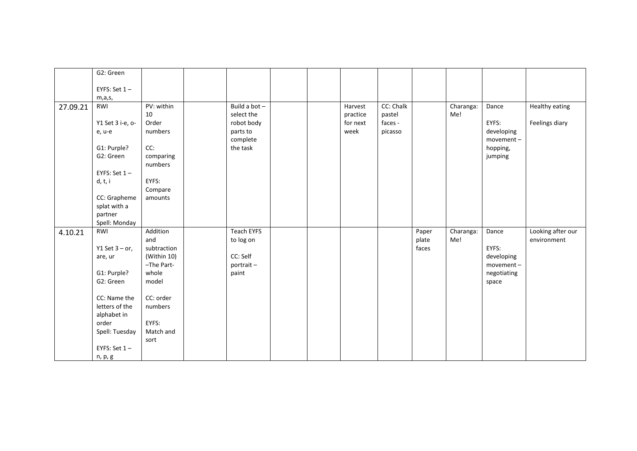|          | G2: Green         |             |                      |  |          |           |       |           |                         |                   |
|----------|-------------------|-------------|----------------------|--|----------|-----------|-------|-----------|-------------------------|-------------------|
|          |                   |             |                      |  |          |           |       |           |                         |                   |
|          | EYFS: Set $1 -$   |             |                      |  |          |           |       |           |                         |                   |
|          | m,a,s,            |             |                      |  |          |           |       |           |                         |                   |
| 27.09.21 | RWI               | PV: within  | Build a bot $-$      |  | Harvest  | CC: Chalk |       | Charanga: | Dance                   | Healthy eating    |
|          |                   | 10          | select the           |  | practice | pastel    |       | Me!       |                         |                   |
|          | Y1 Set 3 i-e, o-  | Order       | robot body           |  | for next | faces -   |       |           | EYFS:                   | Feelings diary    |
|          | e, u-e            | numbers     | parts to<br>complete |  | week     | picasso   |       |           | developing<br>movement- |                   |
|          | G1: Purple?       | CC:         | the task             |  |          |           |       |           | hopping,                |                   |
|          | G2: Green         | comparing   |                      |  |          |           |       |           | jumping                 |                   |
|          |                   | numbers     |                      |  |          |           |       |           |                         |                   |
|          | EYFS: Set $1-$    |             |                      |  |          |           |       |           |                         |                   |
|          | d, t, i           | EYFS:       |                      |  |          |           |       |           |                         |                   |
|          |                   | Compare     |                      |  |          |           |       |           |                         |                   |
|          | CC: Grapheme      | amounts     |                      |  |          |           |       |           |                         |                   |
|          | splat with a      |             |                      |  |          |           |       |           |                         |                   |
|          | partner           |             |                      |  |          |           |       |           |                         |                   |
|          | Spell: Monday     |             |                      |  |          |           |       |           |                         |                   |
| 4.10.21  | RWI               | Addition    | <b>Teach EYFS</b>    |  |          |           | Paper | Charanga: | Dance                   | Looking after our |
|          |                   | and         | to log on            |  |          |           | plate | Me!       |                         | environment       |
|          | Y1 Set $3 - or$ , | subtraction |                      |  |          |           | faces |           | EYFS:                   |                   |
|          | are, ur           | (Within 10) | CC: Self             |  |          |           |       |           | developing              |                   |
|          |                   | -The Part-  | portrait-            |  |          |           |       |           | movement-               |                   |
|          | G1: Purple?       | whole       | paint                |  |          |           |       |           | negotiating             |                   |
|          | G2: Green         | model       |                      |  |          |           |       |           | space                   |                   |
|          | CC: Name the      | CC: order   |                      |  |          |           |       |           |                         |                   |
|          | letters of the    | numbers     |                      |  |          |           |       |           |                         |                   |
|          | alphabet in       |             |                      |  |          |           |       |           |                         |                   |
|          | order             | EYFS:       |                      |  |          |           |       |           |                         |                   |
|          | Spell: Tuesday    | Match and   |                      |  |          |           |       |           |                         |                   |
|          |                   | sort        |                      |  |          |           |       |           |                         |                   |
|          | EYFS: Set $1 -$   |             |                      |  |          |           |       |           |                         |                   |
|          | n, p, g           |             |                      |  |          |           |       |           |                         |                   |